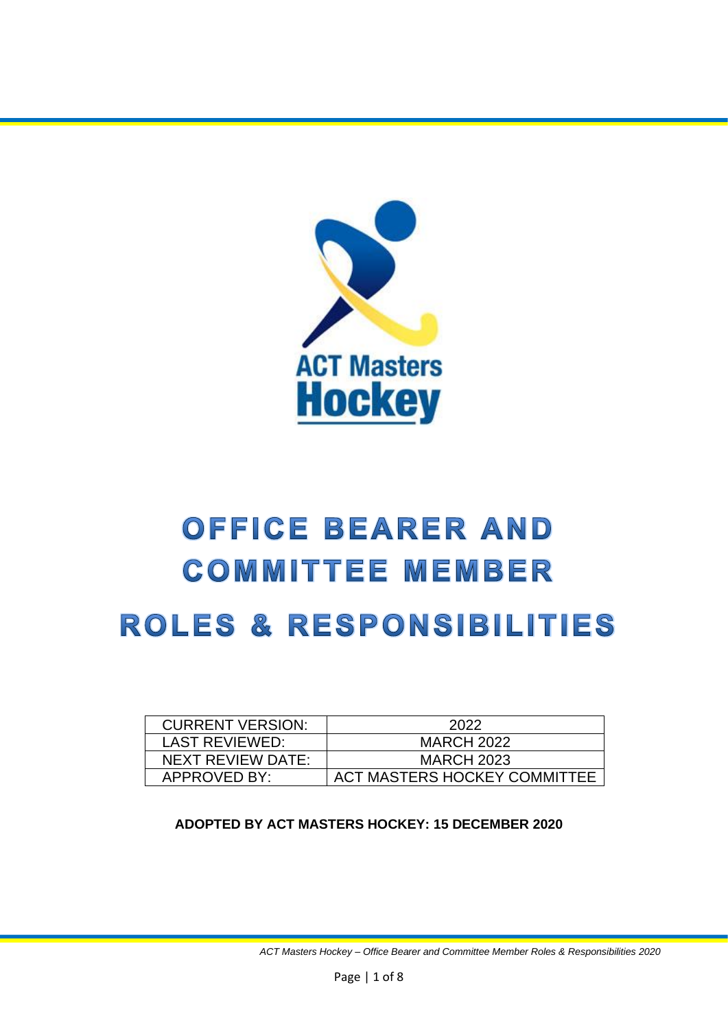

# OFFICE BEARER AND **COMMITTEE MEMBER**

## **ROLES & RESPONSIBILITIES**

| <b>CURRENT VERSION:</b> | 2022                         |
|-------------------------|------------------------------|
|                         |                              |
| LAST REVIEWED:          | <b>MARCH 2022</b>            |
| NEXT REVIEW DATE:       | <b>MARCH 2023</b>            |
| APPROVED BY:            | ACT MASTERS HOCKEY COMMITTEE |

**ADOPTED BY ACT MASTERS HOCKEY: 15 DECEMBER 2020**

*ACT Masters Hockey – Office Bearer and Committee Member Roles & Responsibilities 2020*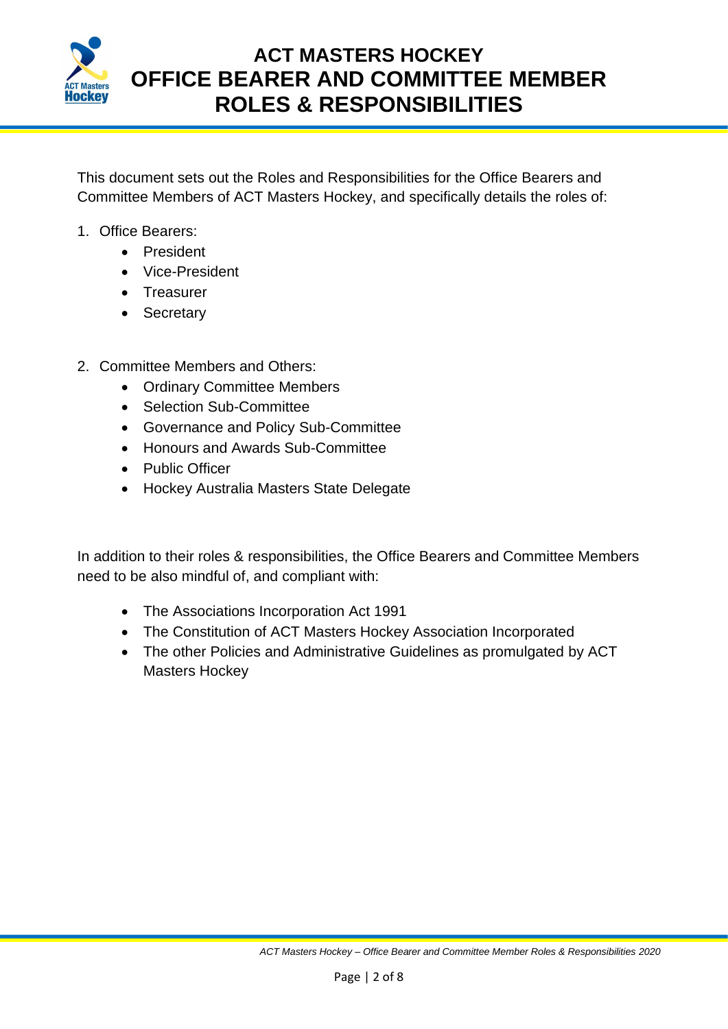

This document sets out the Roles and Responsibilities for the Office Bearers and Committee Members of ACT Masters Hockey, and specifically details the roles of:

- 1. Office Bearers:
	- President
	- Vice-President
	- Treasurer
	- Secretary
- 2. Committee Members and Others:
	- Ordinary Committee Members
	- Selection Sub-Committee
	- Governance and Policy Sub-Committee
	- Honours and Awards Sub-Committee
	- Public Officer
	- Hockey Australia Masters State Delegate

In addition to their roles & responsibilities, the Office Bearers and Committee Members need to be also mindful of, and compliant with:

- The Associations Incorporation Act 1991
- The Constitution of ACT Masters Hockey Association Incorporated
- The other Policies and Administrative Guidelines as promulgated by ACT Masters Hockey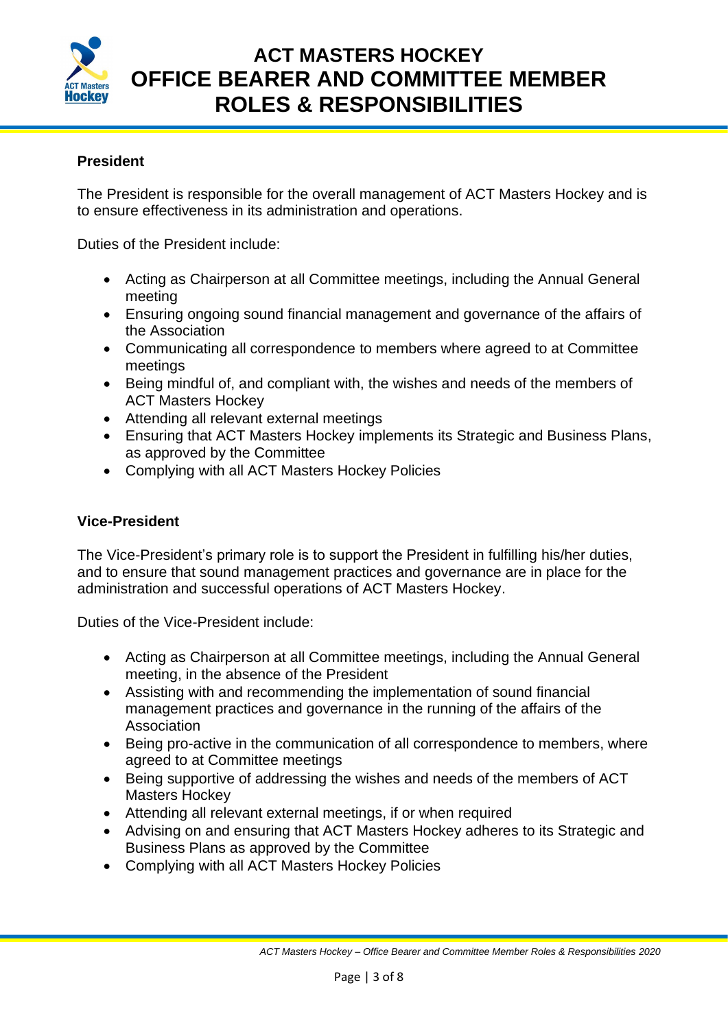

#### **President**

The President is responsible for the overall management of ACT Masters Hockey and is to ensure effectiveness in its administration and operations.

Duties of the President include:

- Acting as Chairperson at all Committee meetings, including the Annual General meeting
- Ensuring ongoing sound financial management and governance of the affairs of the Association
- Communicating all correspondence to members where agreed to at Committee meetings
- Being mindful of, and compliant with, the wishes and needs of the members of ACT Masters Hockey
- Attending all relevant external meetings
- Ensuring that ACT Masters Hockey implements its Strategic and Business Plans, as approved by the Committee
- Complying with all ACT Masters Hockey Policies

#### **Vice-President**

The Vice-President's primary role is to support the President in fulfilling his/her duties, and to ensure that sound management practices and governance are in place for the administration and successful operations of ACT Masters Hockey.

Duties of the Vice-President include:

- Acting as Chairperson at all Committee meetings, including the Annual General meeting, in the absence of the President
- Assisting with and recommending the implementation of sound financial management practices and governance in the running of the affairs of the Association
- Being pro-active in the communication of all correspondence to members, where agreed to at Committee meetings
- Being supportive of addressing the wishes and needs of the members of ACT Masters Hockey
- Attending all relevant external meetings, if or when required
- Advising on and ensuring that ACT Masters Hockey adheres to its Strategic and Business Plans as approved by the Committee
- Complying with all ACT Masters Hockey Policies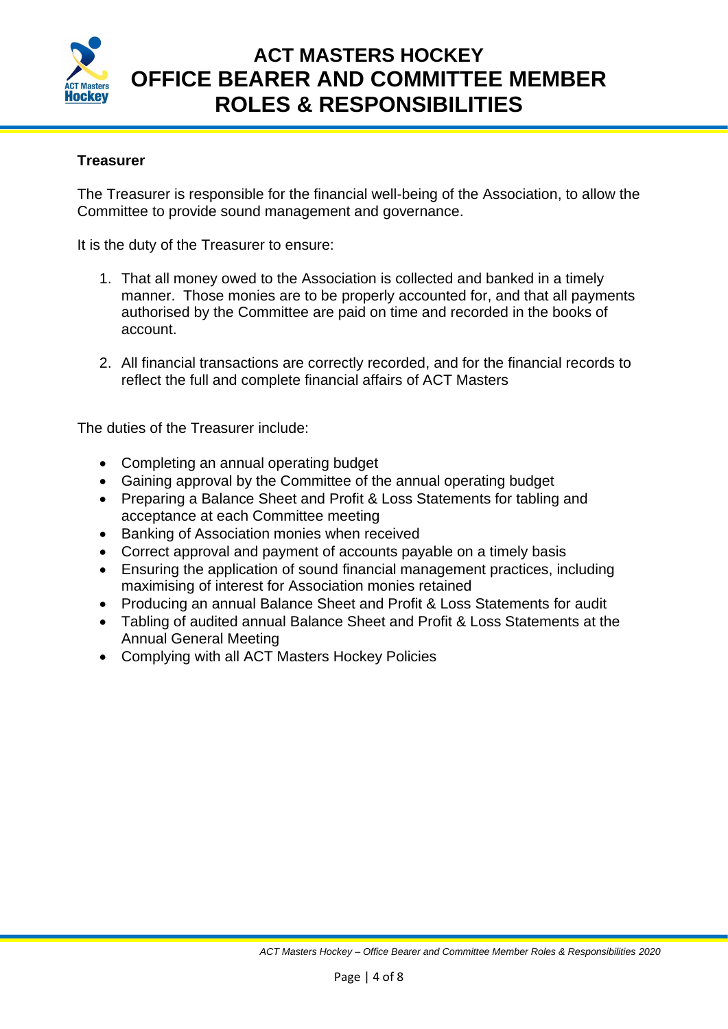

#### **Treasurer**

The Treasurer is responsible for the financial well-being of the Association, to allow the Committee to provide sound management and governance.

It is the duty of the Treasurer to ensure:

- 1. That all money owed to the Association is collected and banked in a timely manner. Those monies are to be properly accounted for, and that all payments authorised by the Committee are paid on time and recorded in the books of account.
- 2. All financial transactions are correctly recorded, and for the financial records to reflect the full and complete financial affairs of ACT Masters

The duties of the Treasurer include:

- Completing an annual operating budget
- Gaining approval by the Committee of the annual operating budget
- Preparing a Balance Sheet and Profit & Loss Statements for tabling and acceptance at each Committee meeting
- Banking of Association monies when received
- Correct approval and payment of accounts payable on a timely basis
- Ensuring the application of sound financial management practices, including maximising of interest for Association monies retained
- Producing an annual Balance Sheet and Profit & Loss Statements for audit
- Tabling of audited annual Balance Sheet and Profit & Loss Statements at the Annual General Meeting
- Complying with all ACT Masters Hockey Policies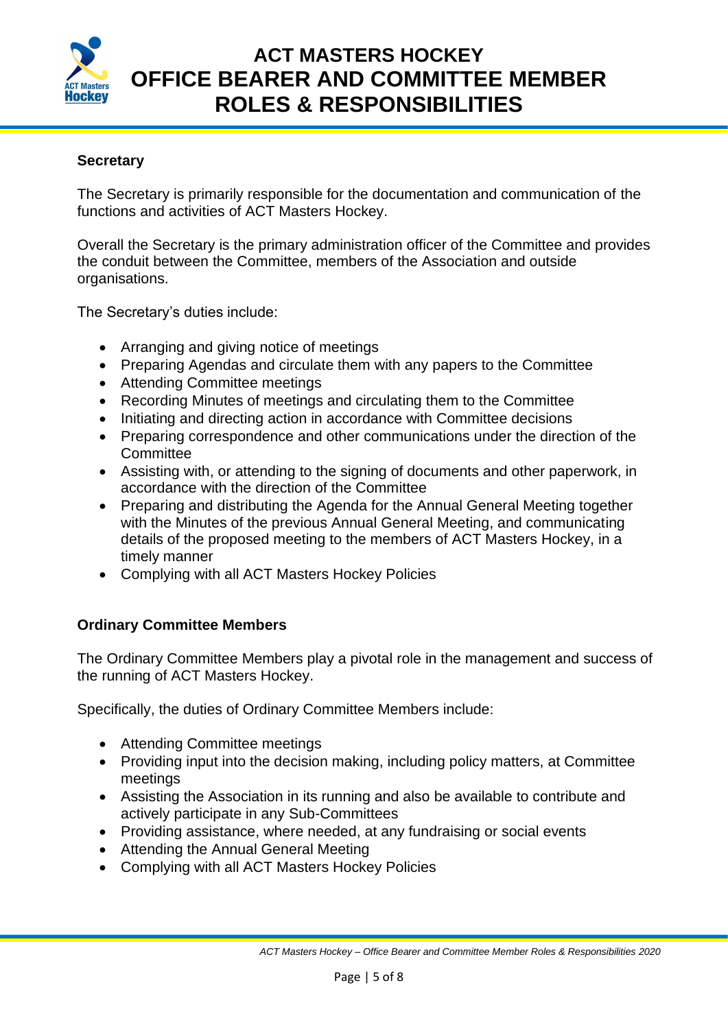

#### **Secretary**

The Secretary is primarily responsible for the documentation and communication of the functions and activities of ACT Masters Hockey.

Overall the Secretary is the primary administration officer of the Committee and provides the conduit between the Committee, members of the Association and outside organisations.

The Secretary's duties include:

- Arranging and giving notice of meetings
- Preparing Agendas and circulate them with any papers to the Committee
- Attending Committee meetings
- Recording Minutes of meetings and circulating them to the Committee
- Initiating and directing action in accordance with Committee decisions
- Preparing correspondence and other communications under the direction of the Committee
- Assisting with, or attending to the signing of documents and other paperwork, in accordance with the direction of the Committee
- Preparing and distributing the Agenda for the Annual General Meeting together with the Minutes of the previous Annual General Meeting, and communicating details of the proposed meeting to the members of ACT Masters Hockey, in a timely manner
- Complying with all ACT Masters Hockey Policies

#### **Ordinary Committee Members**

The Ordinary Committee Members play a pivotal role in the management and success of the running of ACT Masters Hockey.

Specifically, the duties of Ordinary Committee Members include:

- Attending Committee meetings
- Providing input into the decision making, including policy matters, at Committee meetings
- Assisting the Association in its running and also be available to contribute and actively participate in any Sub-Committees
- Providing assistance, where needed, at any fundraising or social events
- Attending the Annual General Meeting
- Complying with all ACT Masters Hockey Policies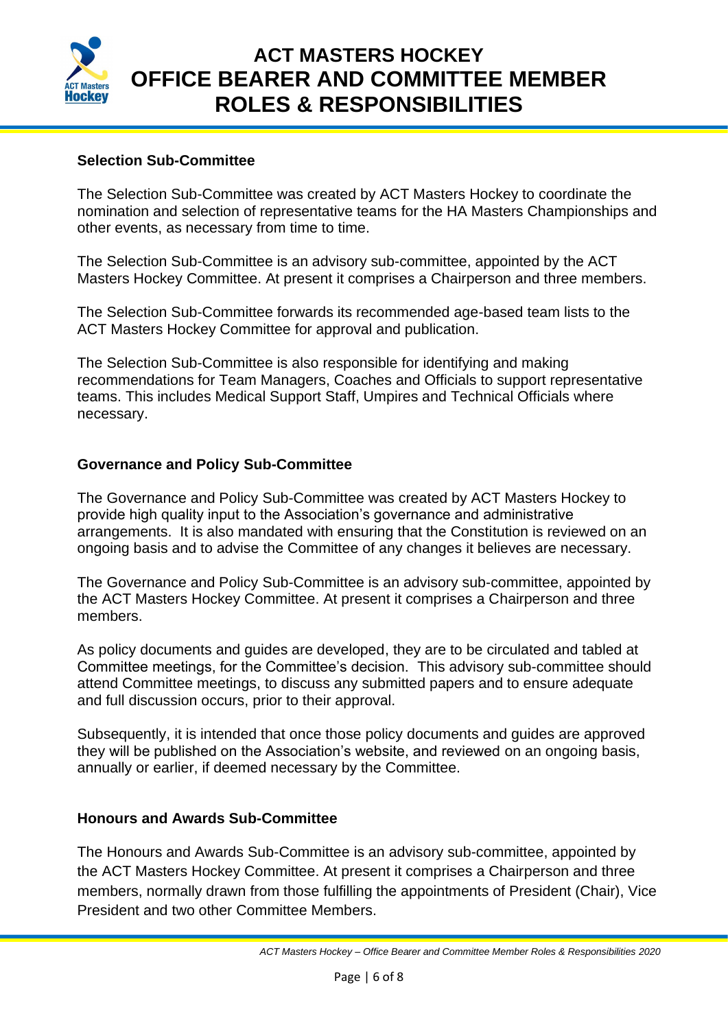

#### **Selection Sub-Committee**

The Selection Sub-Committee was created by ACT Masters Hockey to coordinate the nomination and selection of representative teams for the HA Masters Championships and other events, as necessary from time to time.

The Selection Sub-Committee is an advisory sub-committee, appointed by the ACT Masters Hockey Committee. At present it comprises a Chairperson and three members.

The Selection Sub-Committee forwards its recommended age-based team lists to the ACT Masters Hockey Committee for approval and publication.

The Selection Sub-Committee is also responsible for identifying and making recommendations for Team Managers, Coaches and Officials to support representative teams. This includes Medical Support Staff, Umpires and Technical Officials where necessary.

#### **Governance and Policy Sub-Committee**

The Governance and Policy Sub-Committee was created by ACT Masters Hockey to provide high quality input to the Association's governance and administrative arrangements. It is also mandated with ensuring that the Constitution is reviewed on an ongoing basis and to advise the Committee of any changes it believes are necessary.

The Governance and Policy Sub-Committee is an advisory sub-committee, appointed by the ACT Masters Hockey Committee. At present it comprises a Chairperson and three members.

As policy documents and guides are developed, they are to be circulated and tabled at Committee meetings, for the Committee's decision. This advisory sub-committee should attend Committee meetings, to discuss any submitted papers and to ensure adequate and full discussion occurs, prior to their approval.

Subsequently, it is intended that once those policy documents and guides are approved they will be published on the Association's website, and reviewed on an ongoing basis, annually or earlier, if deemed necessary by the Committee.

#### **Honours and Awards Sub-Committee**

The Honours and Awards Sub-Committee is an advisory sub-committee, appointed by the ACT Masters Hockey Committee. At present it comprises a Chairperson and three members, normally drawn from those fulfilling the appointments of President (Chair), Vice President and two other Committee Members.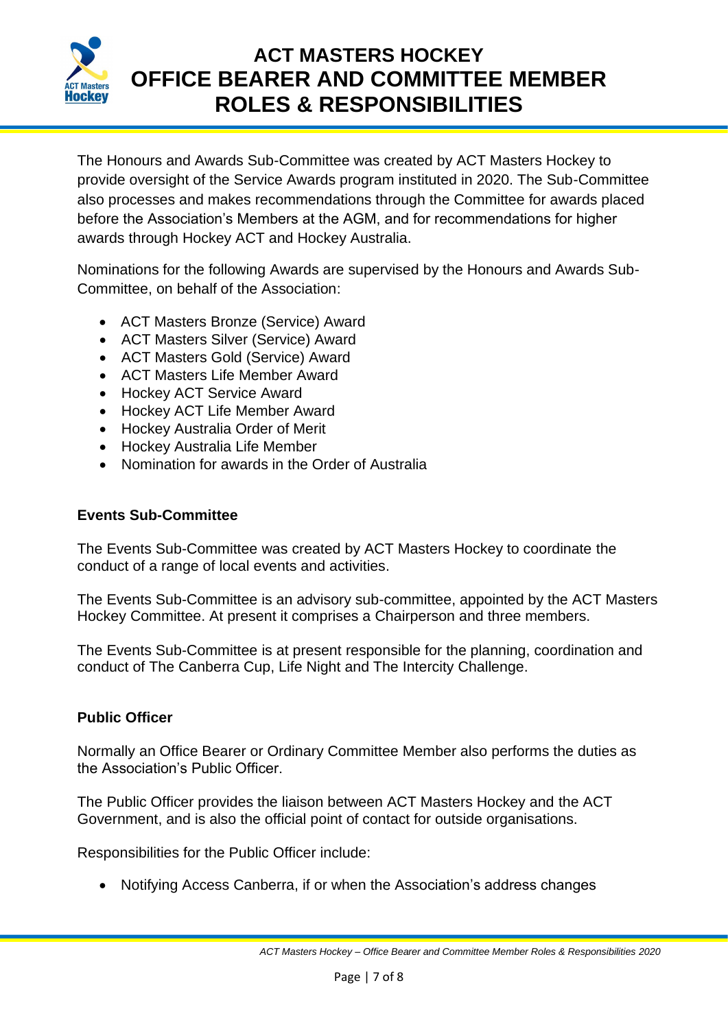

The Honours and Awards Sub-Committee was created by ACT Masters Hockey to provide oversight of the Service Awards program instituted in 2020. The Sub-Committee also processes and makes recommendations through the Committee for awards placed before the Association's Members at the AGM, and for recommendations for higher awards through Hockey ACT and Hockey Australia.

Nominations for the following Awards are supervised by the Honours and Awards Sub-Committee, on behalf of the Association:

- ACT Masters Bronze (Service) Award
- ACT Masters Silver (Service) Award
- ACT Masters Gold (Service) Award
- ACT Masters Life Member Award
- Hockey ACT Service Award
- Hockey ACT Life Member Award
- Hockey Australia Order of Merit
- Hockey Australia Life Member
- Nomination for awards in the Order of Australia

#### **Events Sub-Committee**

The Events Sub-Committee was created by ACT Masters Hockey to coordinate the conduct of a range of local events and activities.

The Events Sub-Committee is an advisory sub-committee, appointed by the ACT Masters Hockey Committee. At present it comprises a Chairperson and three members.

The Events Sub-Committee is at present responsible for the planning, coordination and conduct of The Canberra Cup, Life Night and The Intercity Challenge.

#### **Public Officer**

Normally an Office Bearer or Ordinary Committee Member also performs the duties as the Association's Public Officer.

The Public Officer provides the liaison between ACT Masters Hockey and the ACT Government, and is also the official point of contact for outside organisations.

Responsibilities for the Public Officer include:

• Notifying Access Canberra, if or when the Association's address changes